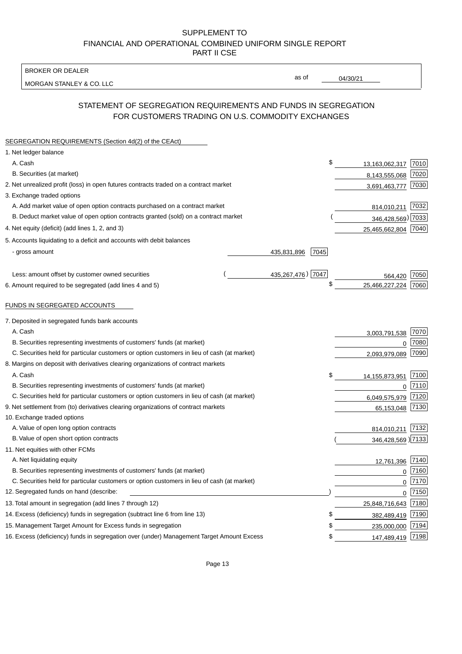BROKER OR DEALER

MORGAN STANLEY & CO. LLC

04/30/21

as of

# STATEMENT OF SEGREGATION REQUIREMENTS AND FUNDS IN SEGREGATION FOR CUSTOMERS TRADING ON U.S. COMMODITY EXCHANGES

| SEGREGATION REQUIREMENTS (Section 4d(2) of the CEAct)                                       |                     |                     |      |
|---------------------------------------------------------------------------------------------|---------------------|---------------------|------|
| 1. Net ledger balance                                                                       |                     |                     |      |
| A. Cash                                                                                     | \$                  | 13,163,062,317      | 7010 |
| B. Securities (at market)                                                                   |                     | 8,143,555,068       | 7020 |
| 2. Net unrealized profit (loss) in open futures contracts traded on a contract market       |                     | 3,691,463,777       | 7030 |
| 3. Exchange traded options                                                                  |                     |                     |      |
| A. Add market value of open option contracts purchased on a contract market                 |                     | 814,010,211         | 7032 |
| B. Deduct market value of open option contracts granted (sold) on a contract market         |                     | 346,428,569) 7033   |      |
| 4. Net equity (deficit) (add lines 1, 2, and 3)                                             |                     | 25,465,662,804      | 7040 |
| 5. Accounts liquidating to a deficit and accounts with debit balances                       |                     |                     |      |
| - gross amount                                                                              | 435,831,896<br>7045 |                     |      |
|                                                                                             |                     |                     |      |
| Less: amount offset by customer owned securities                                            | 435,267,476) 7047   | 564,420             | 7050 |
| 6. Amount required to be segregated (add lines 4 and 5)                                     | \$                  | 25,466,227,224      | 7060 |
|                                                                                             |                     |                     |      |
| FUNDS IN SEGREGATED ACCOUNTS                                                                |                     |                     |      |
| 7. Deposited in segregated funds bank accounts                                              |                     |                     |      |
| A. Cash                                                                                     |                     | 3,003,791,538       | 7070 |
| B. Securities representing investments of customers' funds (at market)                      |                     | 0                   | 7080 |
| C. Securities held for particular customers or option customers in lieu of cash (at market) |                     | 2,093,979,089       | 7090 |
| 8. Margins on deposit with derivatives clearing organizations of contract markets           |                     |                     |      |
| A. Cash                                                                                     | \$                  | 14,155,873,951      | 7100 |
| B. Securities representing investments of customers' funds (at market)                      |                     | $\mathbf 0$         | 7110 |
| C. Securities held for particular customers or option customers in lieu of cash (at market) |                     | 6,049,575,979       | 7120 |
| 9. Net settlement from (to) derivatives clearing organizations of contract markets          |                     | 65,153,048          | 7130 |
| 10. Exchange traded options                                                                 |                     |                     |      |
| A. Value of open long option contracts                                                      |                     | 814,010,211         | 7132 |
| B. Value of open short option contracts                                                     |                     | 346,428,569 ) 7133  |      |
| 11. Net equities with other FCMs                                                            |                     |                     |      |
| A. Net liquidating equity                                                                   |                     | 12,761,396          | 7140 |
| B. Securities representing investments of customers' funds (at market)                      |                     | $\Omega$            | 7160 |
| C. Securities held for particular customers or option customers in lieu of cash (at market) |                     | $\mathbf 0$         | 7170 |
| 12. Segregated funds on hand (describe:                                                     |                     | $\mathbf 0$         | 7150 |
| 13. Total amount in segregation (add lines 7 through 12)                                    |                     | 25,848,716,643 7180 |      |
| 14. Excess (deficiency) funds in segregation (subtract line 6 from line 13)                 | S                   | 382,489,419         | 7190 |
| 15. Management Target Amount for Excess funds in segregation                                | \$                  | 235,000,000         | 7194 |
| 16. Excess (deficiency) funds in segregation over (under) Management Target Amount Excess   | \$                  | 147,489,419         | 7198 |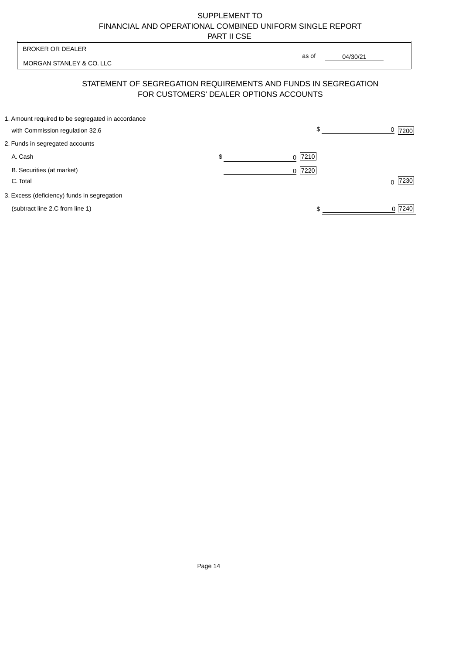| <b>BROKER OR DEALER</b>                                        | as of                                  |          |                      |
|----------------------------------------------------------------|----------------------------------------|----------|----------------------|
| MORGAN STANLEY & CO. LLC                                       |                                        | 04/30/21 |                      |
| STATEMENT OF SEGREGATION REQUIREMENTS AND FUNDS IN SEGREGATION | FOR CUSTOMERS' DEALER OPTIONS ACCOUNTS |          |                      |
| 1. Amount required to be segregated in accordance              | \$                                     |          |                      |
| with Commission regulation 32.6                                |                                        |          | 0<br>7200            |
| 2. Funds in segregated accounts                                |                                        |          |                      |
| A. Cash                                                        | \$<br>7210<br><sup>0</sup>             |          |                      |
| B. Securities (at market)                                      | 0 7220                                 |          |                      |
| C. Total                                                       |                                        |          | 7230<br><sup>n</sup> |
| 3. Excess (deficiency) funds in segregation                    |                                        |          |                      |
| (subtract line 2.C from line 1)                                |                                        |          | 0 7240               |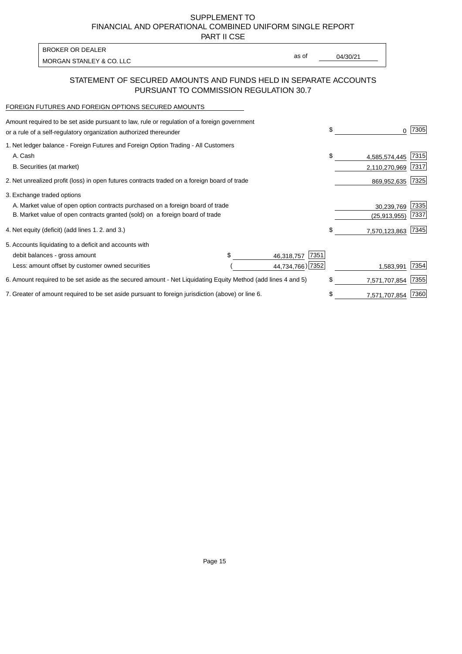PART II CSE

| BROKER OR DEALER         |       |          |
|--------------------------|-------|----------|
|                          | as of | 04/30/21 |
| MORGAN STANLEY & CO. LLC |       |          |

### STATEMENT OF SECURED AMOUNTS AND FUNDS HELD IN SEPARATE ACCOUNTS PURSUANT TO COMMISSION REGULATION 30.7

#### FOREIGN FUTURES AND FOREIGN OPTIONS SECURED AMOUNTS

| Amount required to be set aside pursuant to law, rule or regulation of a foreign government<br>or a rule of a self-regulatory organization authorized thereunder |  |                    | \$<br>0             | 7305 |
|------------------------------------------------------------------------------------------------------------------------------------------------------------------|--|--------------------|---------------------|------|
| 1. Net ledger balance - Foreign Futures and Foreign Option Trading - All Customers                                                                               |  |                    |                     |      |
| A. Cash                                                                                                                                                          |  |                    | \$<br>4,585,574,445 | 7315 |
| B. Securities (at market)                                                                                                                                        |  |                    | 2,110,270,969       | 7317 |
| 2. Net unrealized profit (loss) in open futures contracts traded on a foreign board of trade                                                                     |  |                    | 869,952,635         | 7325 |
| 3. Exchange traded options                                                                                                                                       |  |                    |                     |      |
| A. Market value of open option contracts purchased on a foreign board of trade                                                                                   |  |                    | 30,239,769          | 7335 |
| B. Market value of open contracts granted (sold) on a foreign board of trade                                                                                     |  |                    | (25, 913, 955)      | 7337 |
| 4. Net equity (deficit) (add lines 1.2. and 3.)                                                                                                                  |  |                    | \$<br>7,570,123,863 | 7345 |
| 5. Accounts liquidating to a deficit and accounts with                                                                                                           |  |                    |                     |      |
| debit balances - gross amount                                                                                                                                    |  | 7351<br>46,318,757 |                     |      |
| Less: amount offset by customer owned securities                                                                                                                 |  | 44,734,766) 7352   | 1,583,991           | 7354 |
| 6. Amount required to be set aside as the secured amount - Net Liquidating Equity Method (add lines 4 and 5)                                                     |  |                    | \$<br>7,571,707,854 | 7355 |
| 7. Greater of amount required to be set aside pursuant to foreign jurisdiction (above) or line 6.                                                                |  |                    | \$<br>7,571,707,854 | 7360 |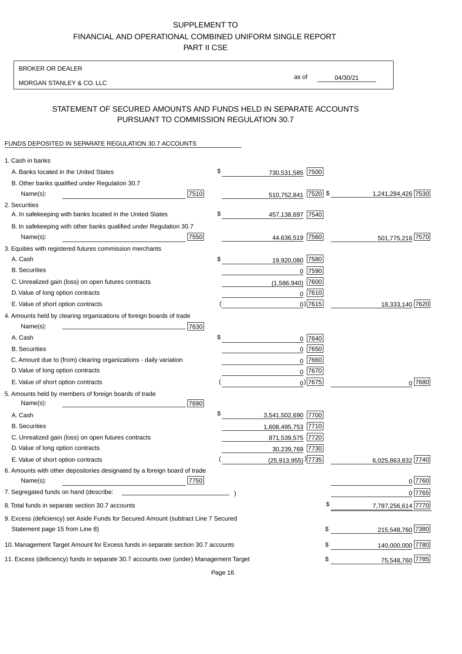BROKER OR DEALER

MORGAN STANLEY & CO. LLC

04/30/21 as of

# STATEMENT OF SECURED AMOUNTS AND FUNDS HELD IN SEPARATE ACCOUNTS PURSUANT TO COMMISSION REGULATION 30.7

## FUNDS DEPOSITED IN SEPARATE REGULATION 30.7 ACCOUNTS

| 1. Cash in banks                                                                       |                                    |                                                                                                                                                                                                                                                                                                                                                                                                                                                                                 |
|----------------------------------------------------------------------------------------|------------------------------------|---------------------------------------------------------------------------------------------------------------------------------------------------------------------------------------------------------------------------------------------------------------------------------------------------------------------------------------------------------------------------------------------------------------------------------------------------------------------------------|
| A. Banks located in the United States                                                  | \$<br>730,531,585 7500             |                                                                                                                                                                                                                                                                                                                                                                                                                                                                                 |
| B. Other banks qualified under Regulation 30.7                                         |                                    |                                                                                                                                                                                                                                                                                                                                                                                                                                                                                 |
| 7510<br>Name(s):                                                                       | 510,752,841 7520 \$                | 1,241,284,426 7530                                                                                                                                                                                                                                                                                                                                                                                                                                                              |
| 2. Securities                                                                          |                                    |                                                                                                                                                                                                                                                                                                                                                                                                                                                                                 |
| A. In safekeeping with banks located in the United States                              | \$<br>457,138,697 7540             |                                                                                                                                                                                                                                                                                                                                                                                                                                                                                 |
| B. In safekeeping with other banks qualified under Regulation 30.7                     |                                    |                                                                                                                                                                                                                                                                                                                                                                                                                                                                                 |
| 7550<br>Name(s):                                                                       | 44,636,519 7560                    | 501,775,216 7570                                                                                                                                                                                                                                                                                                                                                                                                                                                                |
| 3. Equities with registered futures commission merchants                               |                                    |                                                                                                                                                                                                                                                                                                                                                                                                                                                                                 |
| A. Cash                                                                                | \$<br>19,920,080 7580              |                                                                                                                                                                                                                                                                                                                                                                                                                                                                                 |
| <b>B.</b> Securities                                                                   | 7590<br>0                          |                                                                                                                                                                                                                                                                                                                                                                                                                                                                                 |
| C. Unrealized gain (loss) on open futures contracts                                    | 7600<br>(1,586,940)                |                                                                                                                                                                                                                                                                                                                                                                                                                                                                                 |
| D. Value of long option contracts                                                      | $0$ 7610                           |                                                                                                                                                                                                                                                                                                                                                                                                                                                                                 |
| E. Value of short option contracts                                                     | $0)$ 7615                          | 18,333,140 7620                                                                                                                                                                                                                                                                                                                                                                                                                                                                 |
| 4. Amounts held by clearing organizations of foreign boards of trade                   |                                    |                                                                                                                                                                                                                                                                                                                                                                                                                                                                                 |
| Name(s):<br>7630                                                                       |                                    |                                                                                                                                                                                                                                                                                                                                                                                                                                                                                 |
| A. Cash                                                                                | \$<br>0 7640                       |                                                                                                                                                                                                                                                                                                                                                                                                                                                                                 |
| <b>B.</b> Securities                                                                   | $0$ 7650                           |                                                                                                                                                                                                                                                                                                                                                                                                                                                                                 |
| C. Amount due to (from) clearing organizations - daily variation                       | 0 7660                             |                                                                                                                                                                                                                                                                                                                                                                                                                                                                                 |
| D. Value of long option contracts                                                      | $0$ 7670                           |                                                                                                                                                                                                                                                                                                                                                                                                                                                                                 |
| E. Value of short option contracts                                                     | $0$ ) 7675                         | $0^{7680}$                                                                                                                                                                                                                                                                                                                                                                                                                                                                      |
| 5. Amounts held by members of foreign boards of trade                                  |                                    |                                                                                                                                                                                                                                                                                                                                                                                                                                                                                 |
| 7690<br>Name(s):                                                                       |                                    |                                                                                                                                                                                                                                                                                                                                                                                                                                                                                 |
| A. Cash                                                                                | \$<br>3,541,502,690 7700           |                                                                                                                                                                                                                                                                                                                                                                                                                                                                                 |
| <b>B.</b> Securities                                                                   | 1,608,495,753 7710                 |                                                                                                                                                                                                                                                                                                                                                                                                                                                                                 |
| C. Unrealized gain (loss) on open futures contracts                                    | 871,539,575 7720                   |                                                                                                                                                                                                                                                                                                                                                                                                                                                                                 |
| D. Value of long option contracts                                                      | 30,239,769 7730                    |                                                                                                                                                                                                                                                                                                                                                                                                                                                                                 |
| E. Value of short option contracts                                                     | $(25,913,955)$ <sup>)</sup> $7735$ | 7740<br>6,025,863,832                                                                                                                                                                                                                                                                                                                                                                                                                                                           |
| 6. Amounts with other depositories designated by a foreign board of trade              |                                    |                                                                                                                                                                                                                                                                                                                                                                                                                                                                                 |
| 7750<br>Name(s):                                                                       |                                    | 0 7760                                                                                                                                                                                                                                                                                                                                                                                                                                                                          |
| 7. Segregated funds on hand (describe:                                                 |                                    | 0 7765                                                                                                                                                                                                                                                                                                                                                                                                                                                                          |
| 8. Total funds in separate section 30.7 accounts                                       |                                    | \$<br>7,787,256,614 7770                                                                                                                                                                                                                                                                                                                                                                                                                                                        |
| 9. Excess (deficiency) set Aside Funds for Secured Amount (subtract Line 7 Secured     |                                    |                                                                                                                                                                                                                                                                                                                                                                                                                                                                                 |
| Statement page 15 from Line 8)                                                         |                                    | \$<br>215,548,760 7380                                                                                                                                                                                                                                                                                                                                                                                                                                                          |
| 10. Management Target Amount for Excess funds in separate section 30.7 accounts        |                                    | \$<br>140,000,000 7780                                                                                                                                                                                                                                                                                                                                                                                                                                                          |
| 11. Excess (deficiency) funds in separate 30.7 accounts over (under) Management Target |                                    | \$<br>75,548,760 7785<br>$\label{eq:2.1} \frac{1}{\sqrt{2}}\left(\frac{1}{\sqrt{2}}\right)^{2} \left(\frac{1}{\sqrt{2}}\right)^{2} \left(\frac{1}{\sqrt{2}}\right)^{2} \left(\frac{1}{\sqrt{2}}\right)^{2} \left(\frac{1}{\sqrt{2}}\right)^{2} \left(\frac{1}{\sqrt{2}}\right)^{2} \left(\frac{1}{\sqrt{2}}\right)^{2} \left(\frac{1}{\sqrt{2}}\right)^{2} \left(\frac{1}{\sqrt{2}}\right)^{2} \left(\frac{1}{\sqrt{2}}\right)^{2} \left(\frac{1}{\sqrt{2}}\right)^{2} \left(\$ |
|                                                                                        |                                    |                                                                                                                                                                                                                                                                                                                                                                                                                                                                                 |